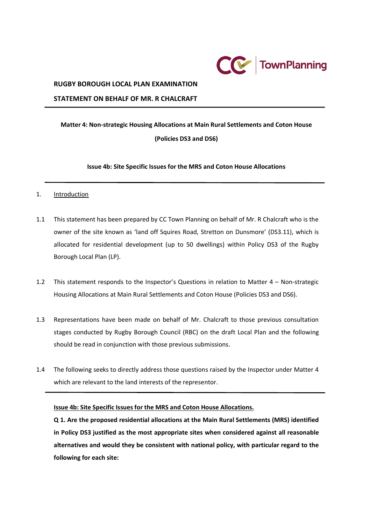

#### **RUGBY BOROUGH LOCAL PLAN EXAMINATION**

#### **STATEMENT ON BEHALF OF MR. R CHALCRAFT**

# **Matter 4: Non-strategic Housing Allocations at Main Rural Settlements and Coton House (Policies DS3 and DS6)**

**Issue 4b: Site Specific Issues for the MRS and Coton House Allocations**

- 1. Introduction
- 1.1 This statement has been prepared by CC Town Planning on behalf of Mr. R Chalcraft who is the owner of the site known as 'land off Squires Road, Stretton on Dunsmore' (DS3.11), which is allocated for residential development (up to 50 dwellings) within Policy DS3 of the Rugby Borough Local Plan (LP).
- 1.2 This statement responds to the Inspector's Questions in relation to Matter 4 Non-strategic Housing Allocations at Main Rural Settlements and Coton House (Policies DS3 and DS6).
- 1.3 Representations have been made on behalf of Mr. Chalcraft to those previous consultation stages conducted by Rugby Borough Council (RBC) on the draft Local Plan and the following should be read in conjunction with those previous submissions.
- 1.4 The following seeks to directly address those questions raised by the Inspector under Matter 4 which are relevant to the land interests of the representor.

#### **Issue 4b: Site Specific Issues for the MRS and Coton House Allocations.**

**Q 1. Are the proposed residential allocations at the Main Rural Settlements (MRS) identified in Policy DS3 justified as the most appropriate sites when considered against all reasonable alternatives and would they be consistent with national policy, with particular regard to the following for each site:**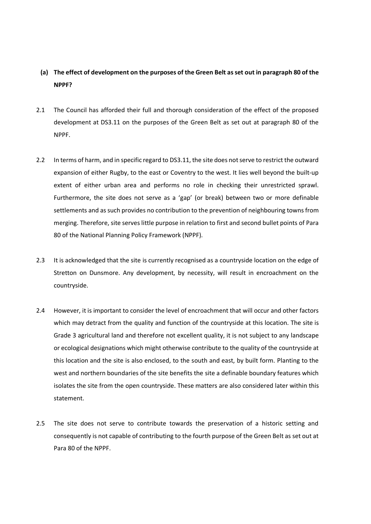#### **(a) The effect of development on the purposes of the Green Belt as set out in paragraph 80 of the NPPF?**

- 2.1 The Council has afforded their full and thorough consideration of the effect of the proposed development at DS3.11 on the purposes of the Green Belt as set out at paragraph 80 of the NPPF.
- 2.2 In terms of harm, and in specific regard to DS3.11, the site does not serve to restrict the outward expansion of either Rugby, to the east or Coventry to the west. It lies well beyond the built-up extent of either urban area and performs no role in checking their unrestricted sprawl. Furthermore, the site does not serve as a 'gap' (or break) between two or more definable settlements and as such provides no contribution to the prevention of neighbouring towns from merging. Therefore, site serves little purpose in relation to first and second bullet points of Para 80 of the National Planning Policy Framework (NPPF).
- 2.3 It is acknowledged that the site is currently recognised as a countryside location on the edge of Stretton on Dunsmore. Any development, by necessity, will result in encroachment on the countryside.
- 2.4 However, it is important to consider the level of encroachment that will occur and other factors which may detract from the quality and function of the countryside at this location. The site is Grade 3 agricultural land and therefore not excellent quality, it is not subject to any landscape or ecological designations which might otherwise contribute to the quality of the countryside at this location and the site is also enclosed, to the south and east, by built form. Planting to the west and northern boundaries of the site benefits the site a definable boundary features which isolates the site from the open countryside. These matters are also considered later within this statement.
- 2.5 The site does not serve to contribute towards the preservation of a historic setting and consequently is not capable of contributing to the fourth purpose of the Green Belt as set out at Para 80 of the NPPF.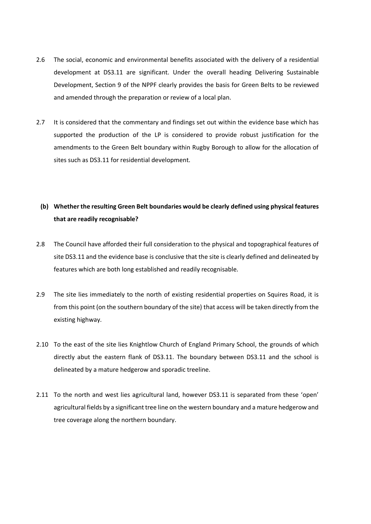- 2.6 The social, economic and environmental benefits associated with the delivery of a residential development at DS3.11 are significant. Under the overall heading Delivering Sustainable Development, Section 9 of the NPPF clearly provides the basis for Green Belts to be reviewed and amended through the preparation or review of a local plan.
- 2.7 It is considered that the commentary and findings set out within the evidence base which has supported the production of the LP is considered to provide robust justification for the amendments to the Green Belt boundary within Rugby Borough to allow for the allocation of sites such as DS3.11 for residential development.

### **(b) Whether the resulting Green Belt boundaries would be clearly defined using physical features that are readily recognisable?**

- 2.8 The Council have afforded their full consideration to the physical and topographical features of site DS3.11 and the evidence base is conclusive that the site is clearly defined and delineated by features which are both long established and readily recognisable.
- 2.9 The site lies immediately to the north of existing residential properties on Squires Road, it is from this point (on the southern boundary of the site) that access will be taken directly from the existing highway.
- 2.10 To the east of the site lies Knightlow Church of England Primary School, the grounds of which directly abut the eastern flank of DS3.11. The boundary between DS3.11 and the school is delineated by a mature hedgerow and sporadic treeline.
- 2.11 To the north and west lies agricultural land, however DS3.11 is separated from these 'open' agricultural fields by a significant tree line on the western boundary and a mature hedgerow and tree coverage along the northern boundary.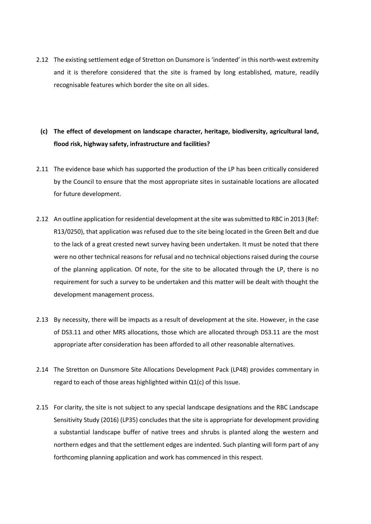2.12 The existing settlement edge of Stretton on Dunsmore is 'indented' in this north-west extremity and it is therefore considered that the site is framed by long established, mature, readily recognisable features which border the site on all sides.

### **(c) The effect of development on landscape character, heritage, biodiversity, agricultural land, flood risk, highway safety, infrastructure and facilities?**

- 2.11 The evidence base which has supported the production of the LP has been critically considered by the Council to ensure that the most appropriate sites in sustainable locations are allocated for future development.
- 2.12 An outline application forresidential development at the site was submitted to RBC in 2013 (Ref: R13/0250), that application was refused due to the site being located in the Green Belt and due to the lack of a great crested newt survey having been undertaken. It must be noted that there were no other technical reasons for refusal and no technical objections raised during the course of the planning application. Of note, for the site to be allocated through the LP, there is no requirement for such a survey to be undertaken and this matter will be dealt with thought the development management process.
- 2.13 By necessity, there will be impacts as a result of development at the site. However, in the case of DS3.11 and other MRS allocations, those which are allocated through DS3.11 are the most appropriate after consideration has been afforded to all other reasonable alternatives.
- 2.14 The Stretton on Dunsmore Site Allocations Development Pack (LP48) provides commentary in regard to each of those areas highlighted within Q1(c) of this Issue.
- 2.15 For clarity, the site is not subject to any special landscape designations and the RBC Landscape Sensitivity Study (2016) (LP35) concludes that the site is appropriate for development providing a substantial landscape buffer of native trees and shrubs is planted along the western and northern edges and that the settlement edges are indented. Such planting will form part of any forthcoming planning application and work has commenced in this respect.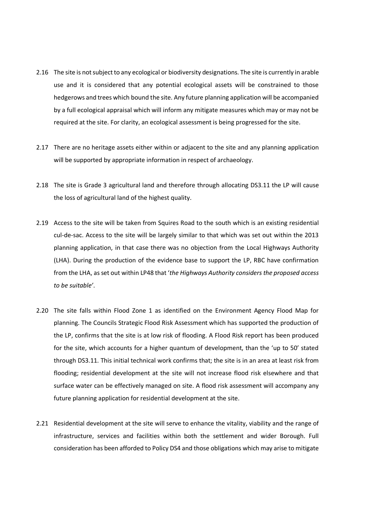- 2.16 The site is not subject to any ecological or biodiversity designations. The site is currently in arable use and it is considered that any potential ecological assets will be constrained to those hedgerows and trees which bound the site. Any future planning application will be accompanied by a full ecological appraisal which will inform any mitigate measures which may or may not be required at the site. For clarity, an ecological assessment is being progressed for the site.
- 2.17 There are no heritage assets either within or adjacent to the site and any planning application will be supported by appropriate information in respect of archaeology.
- 2.18 The site is Grade 3 agricultural land and therefore through allocating DS3.11 the LP will cause the loss of agricultural land of the highest quality.
- 2.19 Access to the site will be taken from Squires Road to the south which is an existing residential cul-de-sac. Access to the site will be largely similar to that which was set out within the 2013 planning application, in that case there was no objection from the Local Highways Authority (LHA). During the production of the evidence base to support the LP, RBC have confirmation from the LHA, as set out within LP48 that '*the Highways Authority considers the proposed access to be suitable'*.
- 2.20 The site falls within Flood Zone 1 as identified on the Environment Agency Flood Map for planning. The Councils Strategic Flood Risk Assessment which has supported the production of the LP, confirms that the site is at low risk of flooding. A Flood Risk report has been produced for the site, which accounts for a higher quantum of development, than the 'up to 50' stated through DS3.11. This initial technical work confirms that; the site is in an area at least risk from flooding; residential development at the site will not increase flood risk elsewhere and that surface water can be effectively managed on site. A flood risk assessment will accompany any future planning application for residential development at the site.
- 2.21 Residential development at the site will serve to enhance the vitality, viability and the range of infrastructure, services and facilities within both the settlement and wider Borough. Full consideration has been afforded to Policy DS4 and those obligations which may arise to mitigate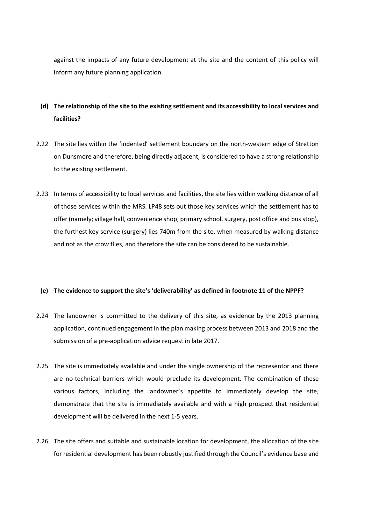against the impacts of any future development at the site and the content of this policy will inform any future planning application.

## **(d) The relationship of the site to the existing settlement and its accessibility to local services and facilities?**

- 2.22 The site lies within the 'indented' settlement boundary on the north-western edge of Stretton on Dunsmore and therefore, being directly adjacent, is considered to have a strong relationship to the existing settlement.
- 2.23 In terms of accessibility to local services and facilities, the site lies within walking distance of all of those services within the MRS. LP48 sets out those key services which the settlement has to offer (namely; village hall, convenience shop, primary school, surgery, post office and bus stop), the furthest key service (surgery) lies 740m from the site, when measured by walking distance and not as the crow flies, and therefore the site can be considered to be sustainable.

#### **(e) The evidence to support the site's 'deliverability' as defined in footnote 11 of the NPPF?**

- 2.24 The landowner is committed to the delivery of this site, as evidence by the 2013 planning application, continued engagement in the plan making process between 2013 and 2018 and the submission of a pre-application advice request in late 2017.
- 2.25 The site is immediately available and under the single ownership of the representor and there are no-technical barriers which would preclude its development. The combination of these various factors, including the landowner's appetite to immediately develop the site, demonstrate that the site is immediately available and with a high prospect that residential development will be delivered in the next 1-5 years.
- 2.26 The site offers and suitable and sustainable location for development, the allocation of the site for residential development has been robustly justified through the Council's evidence base and